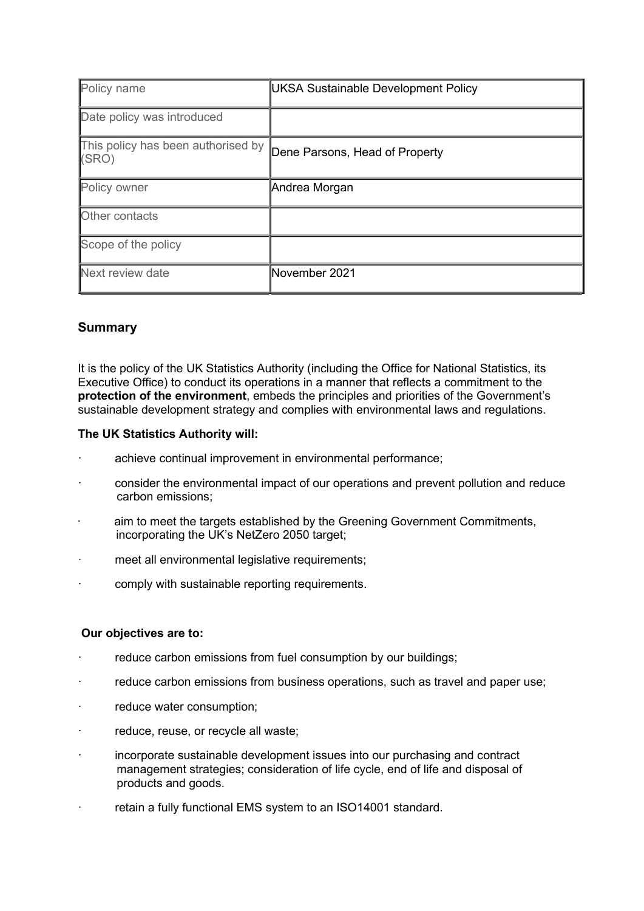| Policy name                                 | <b>UKSA Sustainable Development Policy</b> |
|---------------------------------------------|--------------------------------------------|
| Date policy was introduced                  |                                            |
| This policy has been authorised by<br>(SRO) | Dene Parsons, Head of Property             |
| Policy owner                                | Andrea Morgan                              |
| Other contacts                              |                                            |
| Scope of the policy                         |                                            |
| Next review date                            | November 2021                              |

# Summary

It is the policy of the UK Statistics Authority (including the Office for National Statistics, its Executive Office) to conduct its operations in a manner that reflects a commitment to the protection of the environment, embeds the principles and priorities of the Government's sustainable development strategy and complies with environmental laws and regulations.

### The UK Statistics Authority will:

- achieve continual improvement in environmental performance:
- · consider the environmental impact of our operations and prevent pollution and reduce carbon emissions;
- aim to meet the targets established by the Greening Government Commitments, incorporating the UK's NetZero 2050 target;
- meet all environmental legislative requirements;
- comply with sustainable reporting requirements.

### Our objectives are to:

- reduce carbon emissions from fuel consumption by our buildings;
- reduce carbon emissions from business operations, such as travel and paper use;
- reduce water consumption;
- reduce, reuse, or recycle all waste;
- · incorporate sustainable development issues into our purchasing and contract management strategies; consideration of life cycle, end of life and disposal of products and goods.
- retain a fully functional EMS system to an ISO14001 standard.